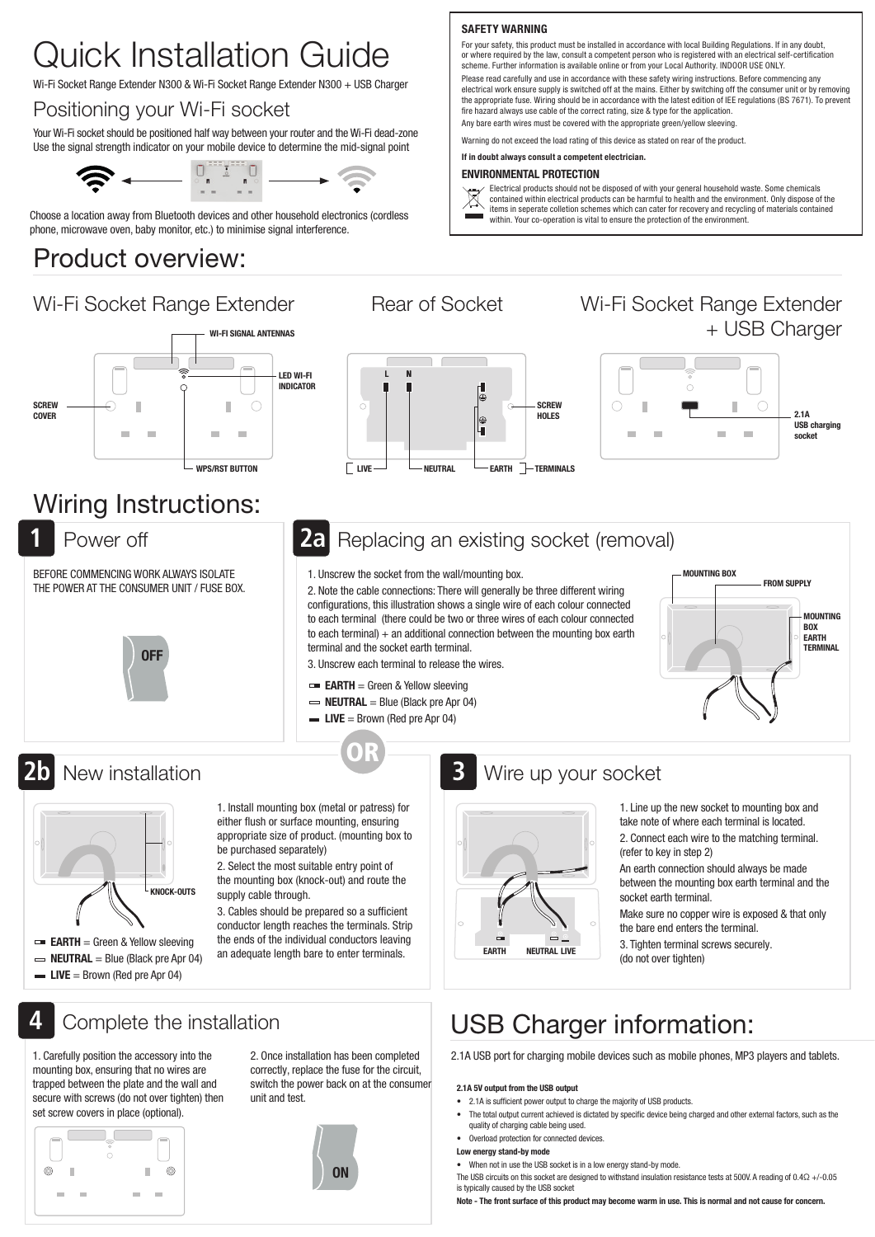# Quick Installation Guide

Wi-Fi Socket Range Extender N300 & Wi-Fi Socket Range Extender N300 + USB Charger

#### Positioning your Wi-Fi socket

Your Wi-Fi socket should be positioned half way between your router and the Wi-Fi dead-zone Use the signal strength indicator on your mobile device to determine the mid-signal point



Choose a location away from Bluetooth devices and other household electronics (cordless phone, microwave oven, baby monitor, etc.) to minimise signal interference.

### Product overview:

### Wi-Fi Socket Range Extender Rear of Socket Ni-Fi Socket Range Extender





 $\boxtimes$ 

# + USB Charger



### Wiring Instructions:

**1**

**2b**

**4**

BEFORE COMMENCING WORK ALWAYS ISOLATE THE POWER AT THE CONSUMER UNIT / FUSE BOX.



#### Power off **20** Replacing an existing socket (removal) **2a**

SAFETY WARNING

1. Unscrew the socket from the wall/mounting box.

2. Note the cable connections: There will generally be three different wiring configurations, this illustration shows a single wire of each colour connected to each terminal (there could be two or three wires of each colour connected to each terminal)  $+$  an additional connection between the mounting box earth terminal and the socket earth terminal.

3. Unscrew each terminal to release the wires.

- $\equiv$  EARTH = Green & Yellow sleeving
- $\Rightarrow$  **NEUTRAL** = Blue (Black pre Apr 04)
- $\blacksquare$  LIVE = Brown (Red pre Apr 04)

OR





1. Install mounting box (metal or patress) for either flush or surface mounting, ensuring appropriate size of product. (mounting box to be purchased separately)

2. Select the most suitable entry point of the mounting box (knock-out) and route the supply cable through.

3. Cables should be prepared so a sufficient conductor length reaches the terminals. Strip the ends of the individual conductors leaving an adequate length bare to enter terminals.

### Complete the installation

1. Carefully position the accessory into the mounting box, ensuring that no wires are trapped between the plate and the wall and secure with screws (do not over tighten) then set screw covers in place (optional).

 $\odot$ f. II.  $\odot$  $\overline{a}$ 

2. Once installation has been completed correctly, replace the fuse for the circuit, switch the power back on at the consumer unit and test.



#### New installation New installation New installation **3**

- 1. Line up the new socket to mounting box and
- take note of where each terminal is located. 2. Connect each wire to the matching terminal. (refer to key in step 2)
- An earth connection should always be made between the mounting box earth terminal and the socket earth terminal.

Make sure no copper wire is exposed & that only the bare end enters the terminal.

3. Tighten terminal screws securely. (do not over tighten)

## USB Charger information:

2.1A USB port for charging mobile devices such as mobile phones, MP3 players and tablets.

- 2.1A is sufficient power output to charge the majority of USB products.
- The total output current achieved is dictated by specific device being charged and other external factors, such as the quality of charging cable being used.
- Overload protection for connected devices.
- Low energy stand-by mode
- When not in use the USB socket is in a low energy stand-by mode
- The USB circuits on this socket are designed to withstand insulation resistance tests at 500V. A reading of 0.4Ω +/-0.05 is typically caused by the USB socket

Note - The front surface of this product may become warm in use. This is normal and not cause for concern.



For your safety, this product must be installed in accordance with local Building Regulations. If in any doubt or where required by the law, consult a competent person who is registered with an electrical self-certification scheme. Further information is available online or from your Local Authority. INDOOR USE ONLY. Please read carefully and use in accordance with these safety wiring instructions. Before commencing any electrical work ensure supply is switched off at the mains. Either by switching off the consumer unit or by removing the appropriate fuse. Wiring should be in accordance with the latest edition of IEE regulations (BS 7671). To prevent

Electrical products should not be disposed of with your general household waste. Some chemicals contained within electrical products can be harmful to health and the environment. Only dispose of the items in seperate colletion schemes which can cater for recovery and recycling of materials contained

fire hazard always use cable of the correct rating, size & type for the application. Any bare earth wires must be covered with the appropriate green/yellow sleeving. Warning do not exceed the load rating of this device as stated on rear of the product.

within. Your co-operation is vital to ensure the protection of the environment.

If in doubt always consult a competent electrician. ENVIRONMENTAL PROTECTION

2.1A 5V output from the USB output